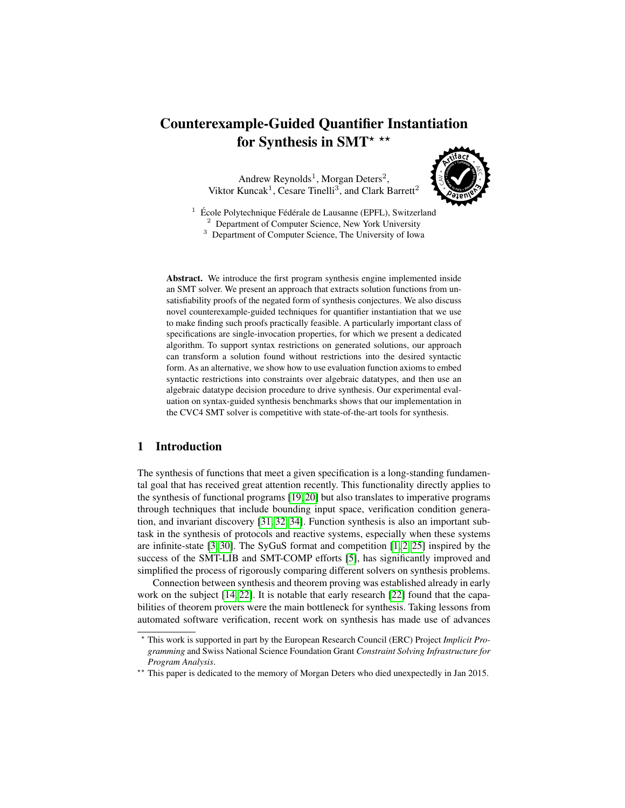# Counterexample-Guided Quantifier Instantiation for Synthesis in SMT\*  $**$

Andrew Reynolds<sup>1</sup>, Morgan Deters<sup>2</sup>, Viktor Kuncak<sup>1</sup>, Cesare Tinelli<sup>3</sup>, and Clark Barrett<sup>2</sup>



 $1$  École Polytechnique Fédérale de Lausanne (EPFL), Switzerland <sup>2</sup> Department of Computer Science, New York University <sup>3</sup> Department of Computer Science, The University of Iowa

Abstract. We introduce the first program synthesis engine implemented inside an SMT solver. We present an approach that extracts solution functions from unsatisfiability proofs of the negated form of synthesis conjectures. We also discuss novel counterexample-guided techniques for quantifier instantiation that we use to make finding such proofs practically feasible. A particularly important class of specifications are single-invocation properties, for which we present a dedicated algorithm. To support syntax restrictions on generated solutions, our approach can transform a solution found without restrictions into the desired syntactic form. As an alternative, we show how to use evaluation function axioms to embed syntactic restrictions into constraints over algebraic datatypes, and then use an algebraic datatype decision procedure to drive synthesis. Our experimental evaluation on syntax-guided synthesis benchmarks shows that our implementation in the CVC4 SMT solver is competitive with state-of-the-art tools for synthesis.

# 1 Introduction

The synthesis of functions that meet a given specification is a long-standing fundamental goal that has received great attention recently. This functionality directly applies to the synthesis of functional programs [\[19,](#page-15-0) [20\]](#page-15-1) but also translates to imperative programs through techniques that include bounding input space, verification condition generation, and invariant discovery [\[31,](#page-16-0) [32,](#page-16-1) [34\]](#page-16-2). Function synthesis is also an important subtask in the synthesis of protocols and reactive systems, especially when these systems are infinite-state  $[3, 30]$  $[3, 30]$ . The SyGuS format and competition  $[1, 2, 25]$  $[1, 2, 25]$  $[1, 2, 25]$  inspired by the success of the SMT-LIB and SMT-COMP efforts [\[5\]](#page-15-5), has significantly improved and simplified the process of rigorously comparing different solvers on synthesis problems.

Connection between synthesis and theorem proving was established already in early work on the subject [\[14,](#page-15-6) [22\]](#page-16-5). It is notable that early research [\[22\]](#page-16-5) found that the capabilities of theorem provers were the main bottleneck for synthesis. Taking lessons from automated software verification, recent work on synthesis has made use of advances

<sup>?</sup> This work is supported in part by the European Research Council (ERC) Project *Implicit Programming* and Swiss National Science Foundation Grant *Constraint Solving Infrastructure for Program Analysis*.

<sup>\*\*</sup> This paper is dedicated to the memory of Morgan Deters who died unexpectedly in Jan 2015.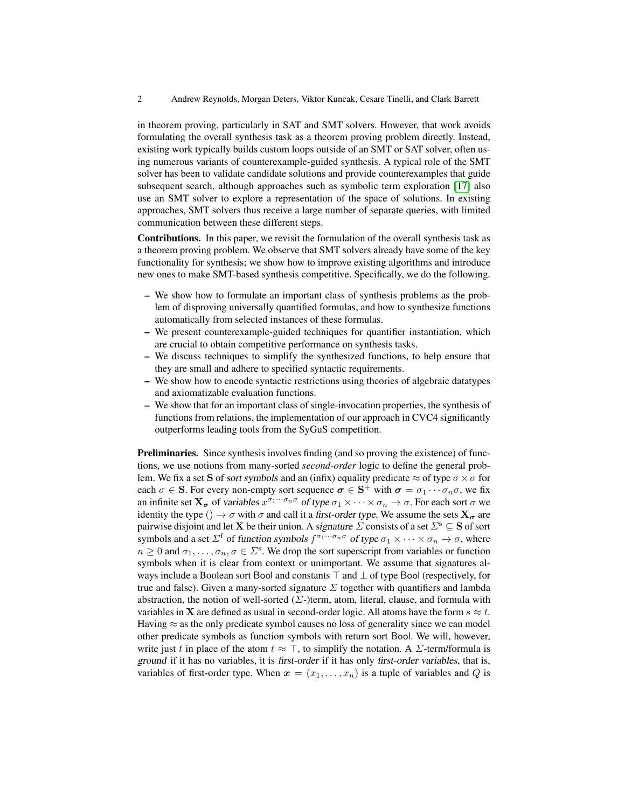in theorem proving, particularly in SAT and SMT solvers. However, that work avoids formulating the overall synthesis task as a theorem proving problem directly. Instead, existing work typically builds custom loops outside of an SMT or SAT solver, often using numerous variants of counterexample-guided synthesis. A typical role of the SMT solver has been to validate candidate solutions and provide counterexamples that guide subsequent search, although approaches such as symbolic term exploration [\[17\]](#page-15-7) also use an SMT solver to explore a representation of the space of solutions. In existing approaches, SMT solvers thus receive a large number of separate queries, with limited communication between these different steps.

Contributions. In this paper, we revisit the formulation of the overall synthesis task as a theorem proving problem. We observe that SMT solvers already have some of the key functionality for synthesis; we show how to improve existing algorithms and introduce new ones to make SMT-based synthesis competitive. Specifically, we do the following.

- We show how to formulate an important class of synthesis problems as the problem of disproving universally quantified formulas, and how to synthesize functions automatically from selected instances of these formulas.
- We present counterexample-guided techniques for quantifier instantiation, which are crucial to obtain competitive performance on synthesis tasks.
- We discuss techniques to simplify the synthesized functions, to help ensure that they are small and adhere to specified syntactic requirements.
- We show how to encode syntactic restrictions using theories of algebraic datatypes and axiomatizable evaluation functions.
- We show that for an important class of single-invocation properties, the synthesis of functions from relations, the implementation of our approach in CVC4 significantly outperforms leading tools from the SyGuS competition.

Preliminaries. Since synthesis involves finding (and so proving the existence) of functions, we use notions from many-sorted *second-order* logic to define the general problem. We fix a set S of sort symbols and an (infix) equality predicate  $\approx$  of type  $\sigma \times \sigma$  for each  $\sigma \in S$ . For every non-empty sort sequence  $\sigma \in S^+$  with  $\sigma = \sigma_1 \cdots \sigma_n \sigma$ , we fix an infinite set  $X_{\sigma}$  of variables  $x^{\sigma_1\cdots\sigma_n\sigma}$  of type  $\sigma_1\times\cdots\times\sigma_n\to\sigma$ . For each sort  $\sigma$  we identity the type ()  $\rightarrow \sigma$  with  $\sigma$  and call it a first-order type. We assume the sets  $X_{\sigma}$  are pairwise disjoint and let **X** be their union. A signature  $\Sigma$  consists of a set  $\Sigma$ <sup>s</sup>  $\subseteq$  **S** of sort symbols and a set  $\Sigma^f$  of function symbols  $f^{\sigma_1\cdots\sigma_n\sigma}$  of type  $\sigma_1\times\cdots\times\sigma_n\to\sigma$ , where  $n \geq 0$  and  $\sigma_1, \ldots, \sigma_n, \sigma \in \Sigma^s$ . We drop the sort superscript from variables or function symbols when it is clear from context or unimportant. We assume that signatures always include a Boolean sort Bool and constants  $\top$  and  $\bot$  of type Bool (respectively, for true and false). Given a many-sorted signature  $\Sigma$  together with quantifiers and lambda abstraction, the notion of well-sorted ( $\Sigma$ -)term, atom, literal, clause, and formula with variables in **X** are defined as usual in second-order logic. All atoms have the form  $s \approx t$ . Having  $\approx$  as the only predicate symbol causes no loss of generality since we can model other predicate symbols as function symbols with return sort Bool. We will, however, write just t in place of the atom  $t \approx \top$ , to simplify the notation. A  $\Sigma$ -term/formula is ground if it has no variables, it is first-order if it has only first-order variables, that is, variables of first-order type. When  $x = (x_1, \ldots, x_n)$  is a tuple of variables and Q is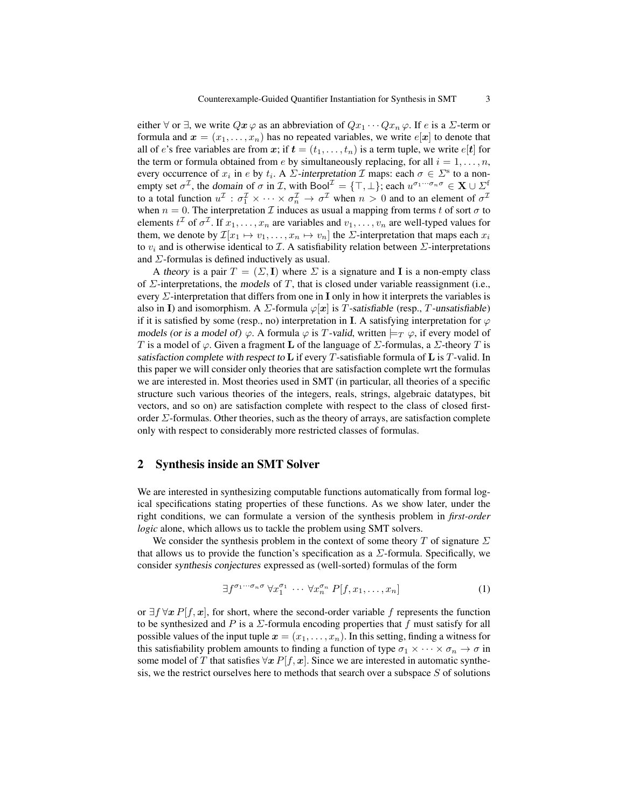either  $\forall$  or  $\exists$ , we write  $Qx \varphi$  as an abbreviation of  $Qx_1 \cdots Qx_n \varphi$ . If e is a  $\Sigma$ -term or formula and  $\mathbf{x} = (x_1, \dots, x_n)$  has no repeated variables, we write  $e[\mathbf{x}]$  to denote that all of e's free variables are from x; if  $t = (t_1, \ldots, t_n)$  is a term tuple, we write  $e[t]$  for the term or formula obtained from e by simultaneously replacing, for all  $i = 1, \ldots, n$ , every occurrence of  $x_i$  in e by  $t_i$ . A  $\Sigma$ -interpretation  $\mathcal I$  maps: each  $\sigma \in \Sigma^s$  to a nonempty set  $\sigma^{\mathcal{I}}$ , the domain of  $\sigma$  in  $\mathcal{I}$ , with  $\text{Bool}^{\mathcal{I}} = {\{\top, \bot\}}$ ; each  $u^{\sigma_1 \cdots \sigma_n \sigma} \in \mathbf{X} \cup \Sigma^{\mathsf{f}}$ to a total function  $u^{\mathcal{I}}: \sigma_1^{\mathcal{I}} \times \cdots \times \sigma_n^{\mathcal{I}} \to \sigma^{\mathcal{I}}$  when  $n > 0$  and to an element of  $\sigma^{\mathcal{I}}$ when  $n = 0$ . The interpretation  $\mathcal I$  induces as usual a mapping from terms t of sort  $\sigma$  to elements  $t^{\mathcal{I}}$  of  $\sigma^{\mathcal{I}}$ . If  $x_1, \ldots, x_n$  are variables and  $v_1, \ldots, v_n$  are well-typed values for them, we denote by  $\mathcal{I}[x_1 \mapsto v_1, \dots, x_n \mapsto v_n]$  the  $\Sigma$ -interpretation that maps each  $x_i$ to  $v_i$  and is otherwise identical to  $\mathcal I$ . A satisfiability relation between  $\mathcal I$ -interpretations and  $\Sigma$ -formulas is defined inductively as usual.

A theory is a pair  $T = (\Sigma, I)$  where  $\Sigma$  is a signature and I is a non-empty class of  $\Sigma$ -interpretations, the models of T, that is closed under variable reassignment (i.e., every  $\Sigma$ -interpretation that differs from one in **I** only in how it interprets the variables is also in I) and isomorphism. A  $\Sigma$ -formula  $\varphi[\mathbf{x}]$  is T-satisfiable (resp., T-unsatisfiable) if it is satisfied by some (resp., no) interpretation in I. A satisfying interpretation for  $\varphi$ models (or is a model of)  $\varphi$ . A formula  $\varphi$  is T-valid, written  $\models_T \varphi$ , if every model of T is a model of  $\varphi$ . Given a fragment **L** of the language of  $\Sigma$ -formulas, a  $\Sigma$ -theory T is satisfaction complete with respect to  $\bf{L}$  if every T-satisfiable formula of  $\bf{L}$  is T-valid. In this paper we will consider only theories that are satisfaction complete wrt the formulas we are interested in. Most theories used in SMT (in particular, all theories of a specific structure such various theories of the integers, reals, strings, algebraic datatypes, bit vectors, and so on) are satisfaction complete with respect to the class of closed firstorder  $\Sigma$ -formulas. Other theories, such as the theory of arrays, are satisfaction complete only with respect to considerably more restricted classes of formulas.

#### 2 Synthesis inside an SMT Solver

We are interested in synthesizing computable functions automatically from formal logical specifications stating properties of these functions. As we show later, under the right conditions, we can formulate a version of the synthesis problem in *first-order logic* alone, which allows us to tackle the problem using SMT solvers.

We consider the synthesis problem in the context of some theory T of signature  $\Sigma$ that allows us to provide the function's specification as a  $\Sigma$ -formula. Specifically, we consider synthesis conjectures expressed as (well-sorted) formulas of the form

<span id="page-2-0"></span>
$$
\exists f^{\sigma_1 \cdots \sigma_n \sigma} \ \forall x_1^{\sigma_1} \ \cdots \ \forall x_n^{\sigma_n} \ P[f, x_1, \ldots, x_n]
$$
 (1)

or  $\exists f \forall x P[f, x]$ , for short, where the second-order variable f represents the function to be synthesized and P is a  $\Sigma$ -formula encoding properties that f must satisfy for all possible values of the input tuple  $x = (x_1, \ldots, x_n)$ . In this setting, finding a witness for this satisfiability problem amounts to finding a function of type  $\sigma_1 \times \cdots \times \sigma_n \to \sigma$  in some model of T that satisfies  $\forall x P[f, x]$ . Since we are interested in automatic synthesis, we the restrict ourselves here to methods that search over a subspace  $S$  of solutions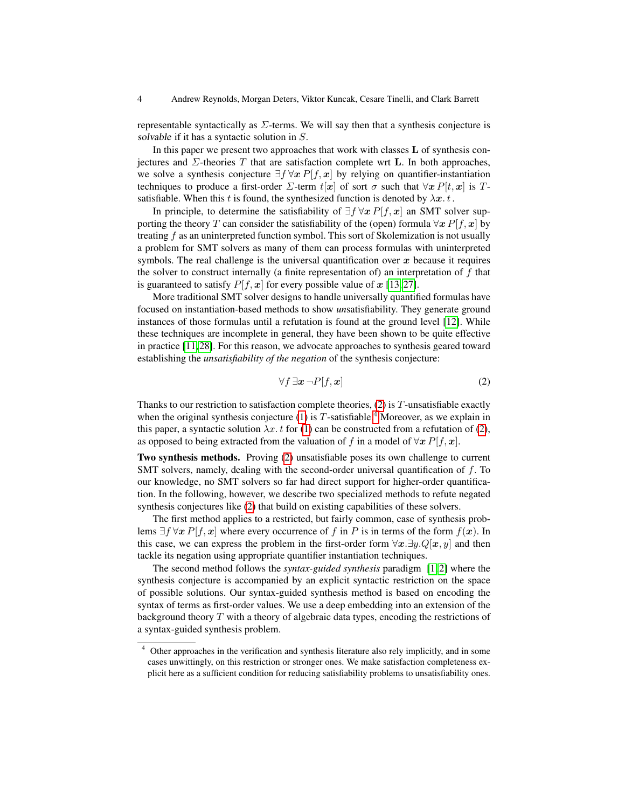representable syntactically as  $\Sigma$ -terms. We will say then that a synthesis conjecture is solvable if it has a syntactic solution in S.

In this paper we present two approaches that work with classes  $L$  of synthesis conjectures and  $\Sigma$ -theories T that are satisfaction complete wrt **L**. In both approaches, we solve a synthesis conjecture  $\exists f \forall x P[f, x]$  by relying on quantifier-instantiation techniques to produce a first-order  $\Sigma$ -term  $t[x]$  of sort  $\sigma$  such that  $\forall x P[t, x]$  is Tsatisfiable. When this t is found, the synthesized function is denoted by  $\lambda x$ . t.

In principle, to determine the satisfiability of  $\exists f \forall x P[f, x]$  an SMT solver supporting the theory T can consider the satisfiability of the (open) formula  $\forall x P[f, x]$  by treating  $f$  as an uninterpreted function symbol. This sort of Skolemization is not usually a problem for SMT solvers as many of them can process formulas with uninterpreted symbols. The real challenge is the universal quantification over  $x$  because it requires the solver to construct internally (a finite representation of) an interpretation of  $f$  that is guaranteed to satisfy  $P[f, x]$  for every possible value of x [\[13,](#page-15-8)27].

More traditional SMT solver designs to handle universally quantified formulas have focused on instantiation-based methods to show *un*satisfiability. They generate ground instances of those formulas until a refutation is found at the ground level [\[12\]](#page-15-9). While these techniques are incomplete in general, they have been shown to be quite effective in practice [\[11,](#page-15-10)[28\]](#page-16-7). For this reason, we advocate approaches to synthesis geared toward establishing the *unsatisfiability of the negation* of the synthesis conjecture:

<span id="page-3-0"></span>
$$
\forall f \,\exists \boldsymbol{x} \,\neg P[f, \boldsymbol{x}] \tag{2}
$$

Thanks to our restriction to satisfaction complete theories,  $(2)$  is  $T$ -unsatisfiable exactly when the original synthesis conjecture [\(1\)](#page-2-0) is  $T$ -satisfiable.<sup>[4](#page-3-1)</sup> Moreover, as we explain in this paper, a syntactic solution  $\lambda x$ . t for [\(1\)](#page-2-0) can be constructed from a refutation of [\(2\)](#page-3-0), as opposed to being extracted from the valuation of f in a model of  $\forall x P[f, x]$ .

Two synthesis methods. Proving [\(2\)](#page-3-0) unsatisfiable poses its own challenge to current SMT solvers, namely, dealing with the second-order universal quantification of  $f$ . To our knowledge, no SMT solvers so far had direct support for higher-order quantification. In the following, however, we describe two specialized methods to refute negated synthesis conjectures like [\(2\)](#page-3-0) that build on existing capabilities of these solvers.

The first method applies to a restricted, but fairly common, case of synthesis problems  $\exists f \forall x P[f, x]$  where every occurrence of f in P is in terms of the form  $f(x)$ . In this case, we can express the problem in the first-order form  $\forall x.\exists y.Q[x, y]$  and then tackle its negation using appropriate quantifier instantiation techniques.

The second method follows the *syntax-guided synthesis* paradigm [\[1,](#page-15-3) [2\]](#page-15-4) where the synthesis conjecture is accompanied by an explicit syntactic restriction on the space of possible solutions. Our syntax-guided synthesis method is based on encoding the syntax of terms as first-order values. We use a deep embedding into an extension of the background theory  $T$  with a theory of algebraic data types, encoding the restrictions of a syntax-guided synthesis problem.

<span id="page-3-1"></span><sup>4</sup> Other approaches in the verification and synthesis literature also rely implicitly, and in some cases unwittingly, on this restriction or stronger ones. We make satisfaction completeness explicit here as a sufficient condition for reducing satisfiability problems to unsatisfiability ones.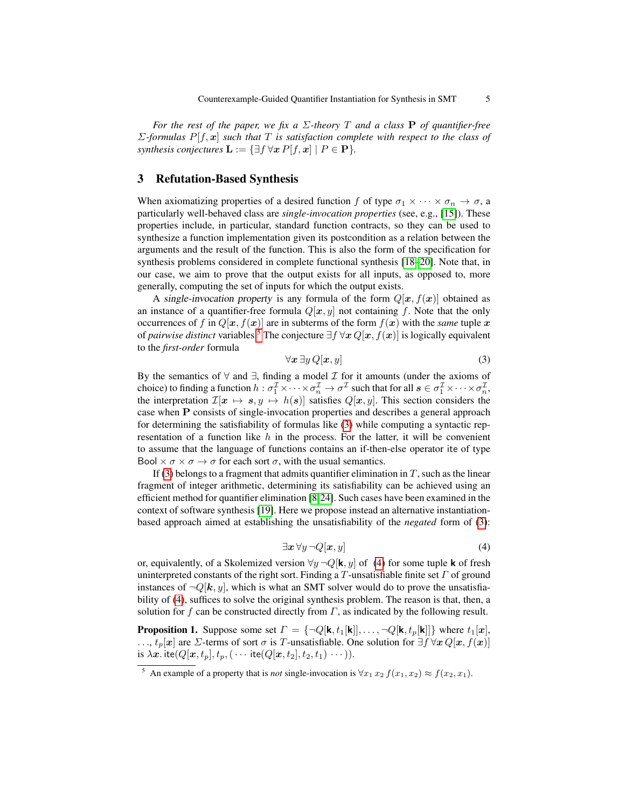*For the rest of the paper, we fix a* Σ*-theory* T *and a class* P *of quantifier-free* Σ*-formulas* P[f, x] *such that* T *is satisfaction complete with respect to the class of synthesis conjectures*  $\mathbf{L} := \{ \exists f \, \forall x \, P[f, x] \mid P \in \mathbf{P} \}.$ 

#### <span id="page-4-4"></span>3 Refutation-Based Synthesis

When axiomatizing properties of a desired function f of type  $\sigma_1 \times \cdots \times \sigma_n \to \sigma$ , a particularly well-behaved class are *single-invocation properties* (see, e.g., [\[15\]](#page-15-11)). These properties include, in particular, standard function contracts, so they can be used to synthesize a function implementation given its postcondition as a relation between the arguments and the result of the function. This is also the form of the specification for synthesis problems considered in complete functional synthesis [\[18–](#page-15-12)[20\]](#page-15-1). Note that, in our case, we aim to prove that the output exists for all inputs, as opposed to, more generally, computing the set of inputs for which the output exists.

A single-invocation property is any formula of the form  $Q[\mathbf{x}, f(\mathbf{x})]$  obtained as an instance of a quantifier-free formula  $Q[x, y]$  not containing f. Note that the only occurrences of f in  $Q[\mathbf{x}, f(\mathbf{x})]$  are in subterms of the form  $f(\mathbf{x})$  with the *same* tuple x of *pairwise distinct* variables.<sup>[5](#page-4-0)</sup> The conjecture  $\exists f \forall x Q[x, f(x)]$  is logically equivalent to the *first-order* formula

<span id="page-4-1"></span>
$$
\forall x \exists y \, Q[\bm{x}, y] \tag{3}
$$

By the semantics of  $\forall$  and  $\exists$ , finding a model  $\mathcal I$  for it amounts (under the axioms of choice) to finding a function  $h: \sigma_1^\mathcal{I} \times \cdots \times \sigma_n^\mathcal{I} \to \sigma^\mathcal{I}$  such that for all  $s \in \sigma_1^\mathcal{I} \times \cdots \times \sigma_n^\mathcal{I}$ , the interpretation  $\mathcal{I}[x \mapsto s, y \mapsto h(s)]$  satisfies  $Q[x, y]$ . This section considers the case when P consists of single-invocation properties and describes a general approach for determining the satisfiability of formulas like [\(3\)](#page-4-1) while computing a syntactic representation of a function like  $h$  in the process. For the latter, it will be convenient to assume that the language of functions contains an if-then-else operator ite of type Bool  $\times \sigma \times \sigma \rightarrow \sigma$  for each sort  $\sigma$ , with the usual semantics.

If [\(3\)](#page-4-1) belongs to a fragment that admits quantifier elimination in  $T$ , such as the linear fragment of integer arithmetic, determining its satisfiability can be achieved using an efficient method for quantifier elimination [\[8,](#page-15-13)[24\]](#page-16-8). Such cases have been examined in the context of software synthesis [\[19\]](#page-15-0). Here we propose instead an alternative instantiationbased approach aimed at establishing the unsatisfiability of the *negated* form of [\(3\)](#page-4-1):

$$
\exists x \,\forall y \,\neg Q[x, y] \tag{4}
$$

<span id="page-4-2"></span>or, equivalently, of a Skolemized version  $\forall y \neg Q[\mathbf{k}, y]$  of [\(4\)](#page-4-2) for some tuple **k** of fresh uninterpreted constants of the right sort. Finding a T-unsatisfiable finite set  $\Gamma$  of ground instances of  $\neg Q[k, y]$ , which is what an SMT solver would do to prove the unsatisfia-bility of [\(4\)](#page-4-2), suffices to solve the original synthesis problem. The reason is that, then, a solution for f can be constructed directly from  $\Gamma$ , as indicated by the following result.

<span id="page-4-3"></span>**Proposition 1.** Suppose some set  $\Gamma = \{\neg Q[\mathbf{k}, t_1[\mathbf{k}]], \dots, \neg Q[\mathbf{k}, t_p[\mathbf{k}]]\}$  where  $t_1[\mathbf{x}],$ ...,  $t_p[x]$  are  $\Sigma$ -terms of sort  $\sigma$  is T-unsatisfiable. One solution for  $\exists f \forall x Q[x, f(x)]$ is  $\lambda x$ . ite $(Q[x, t_p], t_p, (\cdots$  ite $(Q[x, t_2], t_2, t_1) \cdots)).$ 

<span id="page-4-0"></span><sup>&</sup>lt;sup>5</sup> An example of a property that is *not* single-invocation is  $\forall x_1 \, x_2 \, f(x_1, x_2) \approx f(x_2, x_1)$ .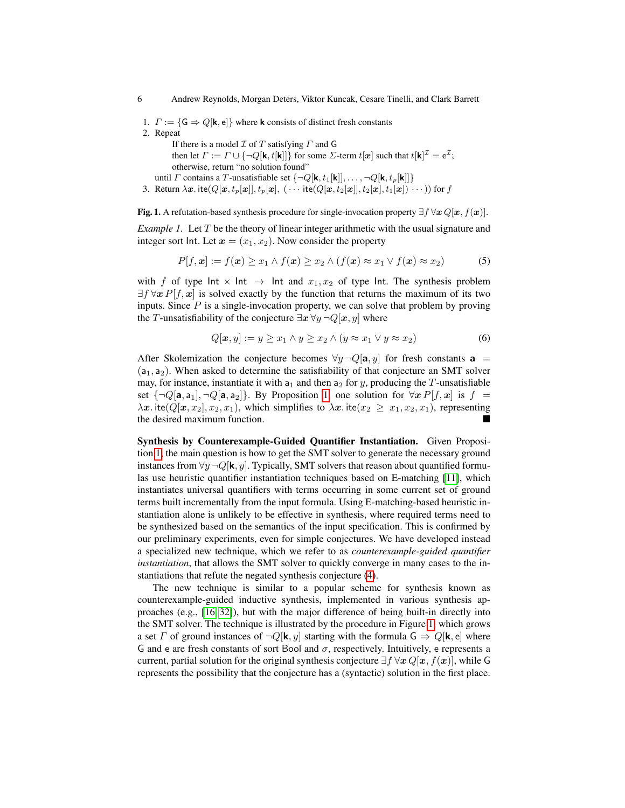1.  $\Gamma := \{ \mathsf{G} \Rightarrow Q[\mathsf{k},\mathsf{e}] \}$  where **k** consists of distinct fresh constants 2. Repeat

If there is a model  $\mathcal I$  of  $T$  satisfying  $\Gamma$  and G then let  $\varGamma:=\varGamma\cup\{\neg Q[\mathsf{k},t[\mathsf{k}]]\}$  for some  $\Sigma$ -term  $t[\bm{x}]$  such that  $t[\mathsf{k}]^\mathcal{I}=\mathsf{e}^\mathcal{I};$ otherwise, return "no solution found" until *Γ* contains a *T*-unsatisfiable set  $\{\neg Q[\mathbf{k}, t_1[\mathbf{k}]], \dots, \neg Q[\mathbf{k}, t_p[\mathbf{k}]]\}$ 

3. Return  $\lambda x$ . ite $(Q[x, t_p[x]], t_p[x], (\cdots$  ite $(Q[x, t_2[x], t_2[x], t_1[x]) \cdots))$  for f

<span id="page-5-0"></span>Fig. 1. A refutation-based synthesis procedure for single-invocation property  $\exists f \forall x Q[x, f(x)]$ .

<span id="page-5-2"></span>*Example 1.* Let T be the theory of linear integer arithmetic with the usual signature and integer sort Int. Let  $x = (x_1, x_2)$ . Now consider the property

<span id="page-5-3"></span>
$$
P[f, \mathbf{x}] := f(\mathbf{x}) \ge x_1 \wedge f(\mathbf{x}) \ge x_2 \wedge (f(\mathbf{x}) \approx x_1 \vee f(\mathbf{x}) \approx x_2)
$$
 (5)

with f of type  $Int \times Int \rightarrow Int$  and  $x_1, x_2$  of type  $Int$ . The synthesis problem  $\exists f \forall x P[f, x]$  is solved exactly by the function that returns the maximum of its two inputs. Since  $P$  is a single-invocation property, we can solve that problem by proving the T-unsatisfiability of the conjecture  $\exists x \forall y \neg Q[x, y]$  where

<span id="page-5-1"></span>
$$
Q[\boldsymbol{x}, y] := y \ge x_1 \land y \ge x_2 \land (y \approx x_1 \lor y \approx x_2)
$$
\n<sup>(6)</sup>

After Skolemization the conjecture becomes  $\forall y \neg Q[\mathbf{a}, y]$  for fresh constants  $\mathbf{a} =$  $(a_1, a_2)$ . When asked to determine the satisfiability of that conjecture an SMT solver may, for instance, instantiate it with  $a_1$  and then  $a_2$  for y, producing the T-unsatisfiable set  $\{\neg Q[\mathbf{a}, \mathbf{a}_1], \neg Q[\mathbf{a}, \mathbf{a}_2]\}$ . By Proposition [1,](#page-4-3) one solution for  $\forall x P[f, x]$  is  $f =$  $\lambda x$ . ite( $Q[x, x_2], x_2, x_1$ ), which simplifies to  $\lambda x$ . ite( $x_2 \geq x_1, x_2, x_1$ ), representing the desired maximum function.

Synthesis by Counterexample-Guided Quantifier Instantiation. Given Proposition [1,](#page-4-3) the main question is how to get the SMT solver to generate the necessary ground instances from  $\forall y \neg Q[k, y]$ . Typically, SMT solvers that reason about quantified formulas use heuristic quantifier instantiation techniques based on E-matching [\[11\]](#page-15-10), which instantiates universal quantifiers with terms occurring in some current set of ground terms built incrementally from the input formula. Using E-matching-based heuristic instantiation alone is unlikely to be effective in synthesis, where required terms need to be synthesized based on the semantics of the input specification. This is confirmed by our preliminary experiments, even for simple conjectures. We have developed instead a specialized new technique, which we refer to as *counterexample-guided quantifier instantiation*, that allows the SMT solver to quickly converge in many cases to the instantiations that refute the negated synthesis conjecture [\(4\)](#page-4-2).

The new technique is similar to a popular scheme for synthesis known as counterexample-guided inductive synthesis, implemented in various synthesis approaches (e.g., [\[16,](#page-15-14) [32\]](#page-16-1)), but with the major difference of being built-in directly into the SMT solver. The technique is illustrated by the procedure in Figure [1,](#page-5-0) which grows a set  $\Gamma$  of ground instances of  $\neg Q[\mathbf{k}, y]$  starting with the formula  $\mathsf{G} \Rightarrow Q[\mathbf{k}, \mathsf{e}]$  where G and e are fresh constants of sort Bool and  $\sigma$ , respectively. Intuitively, e represents a current, partial solution for the original synthesis conjecture  $\exists f \forall x Q[x, f(x)]$ , while G represents the possibility that the conjecture has a (syntactic) solution in the first place.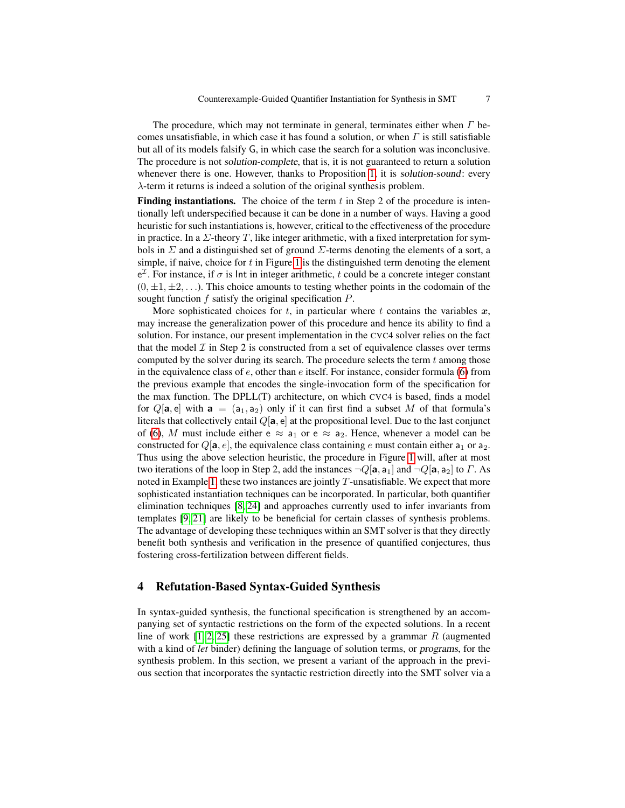The procedure, which may not terminate in general, terminates either when  $\Gamma$  becomes unsatisfiable, in which case it has found a solution, or when  $\Gamma$  is still satisfiable but all of its models falsify G, in which case the search for a solution was inconclusive. The procedure is not solution-complete, that is, it is not guaranteed to return a solution whenever there is one. However, thanks to Proposition [1,](#page-4-3) it is solution-sound: every λ-term it returns is indeed a solution of the original synthesis problem.

Finding instantiations. The choice of the term  $t$  in Step 2 of the procedure is intentionally left underspecified because it can be done in a number of ways. Having a good heuristic for such instantiations is, however, critical to the effectiveness of the procedure in practice. In a  $\Sigma$ -theory T, like integer arithmetic, with a fixed interpretation for symbols in  $\Sigma$  and a distinguished set of ground  $\Sigma$ -terms denoting the elements of a sort, a simple, if naive, choice for  $t$  in Figure [1](#page-5-0) is the distinguished term denoting the element  $e^{\mathcal{I}}$ . For instance, if  $\sigma$  is lnt in integer arithmetic, t could be a concrete integer constant  $(0, \pm 1, \pm 2, \ldots)$ . This choice amounts to testing whether points in the codomain of the sought function f satisfy the original specification P.

More sophisticated choices for t, in particular where t contains the variables  $x$ , may increase the generalization power of this procedure and hence its ability to find a solution. For instance, our present implementation in the CVC4 solver relies on the fact that the model  $\mathcal I$  in Step 2 is constructed from a set of equivalence classes over terms computed by the solver during its search. The procedure selects the term  $t$  among those in the equivalence class of  $e$ , other than  $e$  itself. For instance, consider formula [\(6\)](#page-5-1) from the previous example that encodes the single-invocation form of the specification for the max function. The DPLL(T) architecture, on which CVC4 is based, finds a model for  $Q[a, e]$  with  $a = (a_1, a_2)$  only if it can first find a subset M of that formula's literals that collectively entail  $Q[a, e]$  at the propositional level. Due to the last conjunct of [\(6\)](#page-5-1), M must include either  $e \approx a_1$  or  $e \approx a_2$ . Hence, whenever a model can be constructed for  $Q[\mathbf{a}, e]$ , the equivalence class containing e must contain either  $\mathbf{a}_1$  or  $\mathbf{a}_2$ . Thus using the above selection heuristic, the procedure in Figure [1](#page-5-0) will, after at most two iterations of the loop in Step 2, add the instances  $\neg Q[\mathbf{a}, \mathbf{a}_1]$  and  $\neg Q[\mathbf{a}, \mathbf{a}_2]$  to  $\Gamma$ . As noted in Example [1,](#page-5-2) these two instances are jointly  $T$ -unsatisfiable. We expect that more sophisticated instantiation techniques can be incorporated. In particular, both quantifier elimination techniques [\[8,](#page-15-13) [24\]](#page-16-8) and approaches currently used to infer invariants from templates [\[9,](#page-15-15) [21\]](#page-16-9) are likely to be beneficial for certain classes of synthesis problems. The advantage of developing these techniques within an SMT solver is that they directly benefit both synthesis and verification in the presence of quantified conjectures, thus fostering cross-fertilization between different fields.

# <span id="page-6-0"></span>4 Refutation-Based Syntax-Guided Synthesis

In syntax-guided synthesis, the functional specification is strengthened by an accompanying set of syntactic restrictions on the form of the expected solutions. In a recent line of work  $[1, 2, 25]$  $[1, 2, 25]$  $[1, 2, 25]$  these restrictions are expressed by a grammar R (augmented with a kind of *let* binder) defining the language of solution terms, or programs, for the synthesis problem. In this section, we present a variant of the approach in the previous section that incorporates the syntactic restriction directly into the SMT solver via a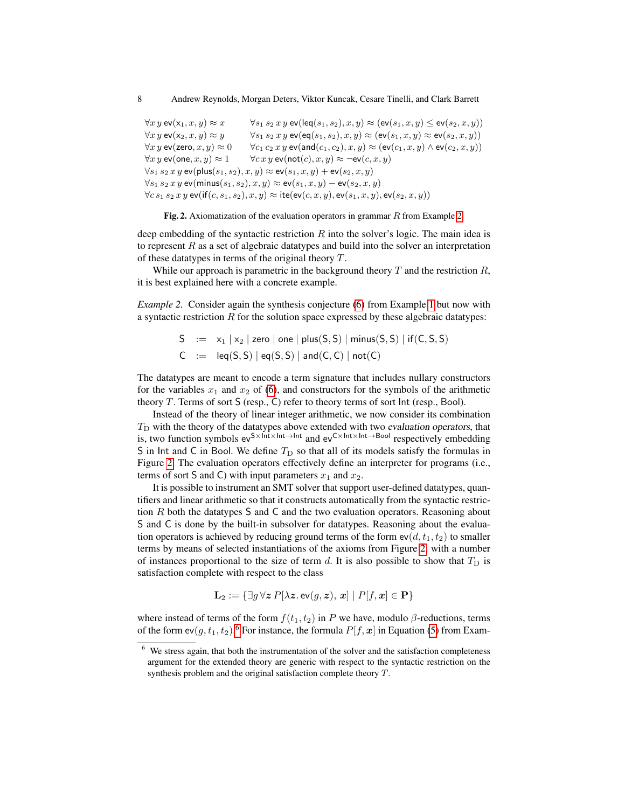$\forall x \ y \text{ ev}(\mathsf{x}_1, x, y) \approx x \qquad \forall s_1 \ s_2 \ x \ y \text{ ev}(\mathsf{leq}(s_1, s_2), x, y) \approx (\mathsf{ev}(s_1, x, y) \leq \mathsf{ev}(s_2, x, y))$  $\forall x \, y \, \mathsf{ev}(\mathsf{x}_2, x, y) \approx y \qquad \forall s_1 \, s_2 \, x \, y \, \mathsf{ev}(\mathsf{eq}(s_1, s_2), x, y) \approx (\mathsf{ev}(s_1, x, y) \approx \mathsf{ev}(s_2, x, y))$  $\forall x \ y \text{ ev}(\textsf{zero}, x, y) \approx 0 \quad \forall c_1 \ c_2 \ x \ y \text{ ev}(\textsf{and}(c_1, c_2), x, y) \approx (\textsf{ev}(c_1, x, y) \land \textsf{ev}(c_2, x, y))$  $\forall x \, y \, \text{ev}(\text{one}, x, y) \approx 1$   $\forall cx \, y \, \text{ev}(\text{not}(c), x, y) \approx \neg \text{ev}(c, x, y)$  $\forall s_1 s_2 x y$  ev(plus( $s_1, s_2$ ),  $x, y$ )  $\approx$  ev( $s_1, x, y$ ) + ev( $s_2, x, y$ )  $∀s_1 s_2 x y$  ev(minus(s<sub>1</sub>, s<sub>2</sub>), x, y) ≈ ev(s<sub>1</sub>, x, y) – ev(s<sub>2</sub>, x, y)  $\forall c \, s_1 \, s_2 \, x \, y \, \text{ev}(\text{if}(c, s_1, s_2), x, y) \approx \text{ite}(\text{ev}(c, x, y), \text{ev}(s_1, x, y), \text{ev}(s_2, x, y))$ 

<span id="page-7-1"></span>Fig. [2.](#page-7-0) Axiomatization of the evaluation operators in grammar  $R$  from Example 2.

deep embedding of the syntactic restriction  $R$  into the solver's logic. The main idea is to represent  $R$  as a set of algebraic datatypes and build into the solver an interpretation of these datatypes in terms of the original theory T.

While our approach is parametric in the background theory  $T$  and the restriction  $R$ , it is best explained here with a concrete example.

<span id="page-7-0"></span>*Example 2.* Consider again the synthesis conjecture [\(6\)](#page-5-1) from Example [1](#page-5-2) but now with a syntactic restriction  $R$  for the solution space expressed by these algebraic datatypes:

> $S = x_1 | x_2 |$  zero | one | plus(S, S) | minus(S, S) | if(C, S, S)  $C := \text{leg}(S, S) | \text{eq}(S, S) | \text{and}(C, C) | \text{not}(C)$

The datatypes are meant to encode a term signature that includes nullary constructors for the variables  $x_1$  and  $x_2$  of [\(6\)](#page-5-1), and constructors for the symbols of the arithmetic theory  $T$ . Terms of sort  $S$  (resp., C) refer to theory terms of sort  $Int$  (resp., Bool).

Instead of the theory of linear integer arithmetic, we now consider its combination  $T<sub>D</sub>$  with the theory of the datatypes above extended with two evaluation operators, that is, two function symbols  $ev^{S \times Int \times Int \rightarrow Int}$  and  $ev^{C \times Int \times Int \rightarrow Bool}$  respectively embedding S in Int and C in Bool. We define  $T_D$  so that all of its models satisfy the formulas in Figure [2.](#page-7-1) The evaluation operators effectively define an interpreter for programs (i.e., terms of sort S and C) with input parameters  $x_1$  and  $x_2$ .

It is possible to instrument an SMT solver that support user-defined datatypes, quantifiers and linear arithmetic so that it constructs automatically from the syntactic restriction  $R$  both the datatypes S and C and the two evaluation operators. Reasoning about S and C is done by the built-in subsolver for datatypes. Reasoning about the evaluation operators is achieved by reducing ground terms of the form  $ev(d, t_1, t_2)$  to smaller terms by means of selected instantiations of the axioms from Figure [2,](#page-7-1) with a number of instances proportional to the size of term  $d$ . It is also possible to show that  $T<sub>D</sub>$  is satisfaction complete with respect to the class

$$
\mathbf{L}_2 := \{ \exists g \, \forall z \, P[\lambda z. \, \mathsf{ev}(g, z), \, x] \mid P[f, x] \in \mathbf{P} \}
$$

where instead of terms of the form  $f(t_1, t_2)$  in P we have, modulo  $\beta$ -reductions, terms of the form  $ev(g, t_1, t_2)$ .<sup>[6](#page-7-2)</sup> For instance, the formula  $P[f, x]$  in Equation [\(5\)](#page-5-3) from Exam-

<span id="page-7-2"></span><sup>&</sup>lt;sup>6</sup> We stress again, that both the instrumentation of the solver and the satisfaction completeness argument for the extended theory are generic with respect to the syntactic restriction on the synthesis problem and the original satisfaction complete theory T.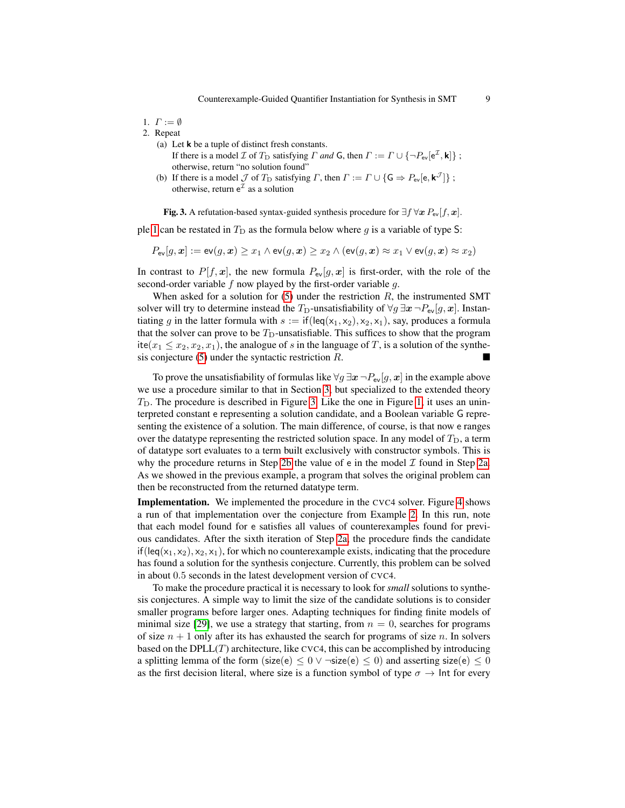1.  $\Gamma := \emptyset$ 

<span id="page-8-2"></span>2. Repeat

- (a) Let k be a tuple of distinct fresh constants. If there is a model *I* of  $T_D$  satisfying *Γ and* **G**, then  $\Gamma := \Gamma \cup \{ \neg P_{ev} [e^{\mathcal{I}}, \mathbf{k}] \}$ ; otherwise, return "no solution found"
- <span id="page-8-1"></span>(b) If there is a model  $\mathcal J$  of  $T_D$  satisfying  $\Gamma$ , then  $\Gamma := \Gamma \cup {\mathsf G} \Rightarrow P_{\text{ev}}[{\mathsf e}, {\mathsf k}^{\mathcal J}]$ ; otherwise, return  $e^{\mathcal{I}}$  as a solution

<span id="page-8-0"></span>Fig. 3. A refutation-based syntax-guided synthesis procedure for  $\exists f \forall x P_{ev}[f, x]$ .

ple [1](#page-5-2) can be restated in  $T_D$  as the formula below where g is a variable of type S:

$$
P_{\text{ev}}[g, \boldsymbol{x}] := \text{ev}(g, \boldsymbol{x}) \geq x_1 \wedge \text{ev}(g, \boldsymbol{x}) \geq x_2 \wedge (\text{ev}(g, \boldsymbol{x}) \approx x_1 \vee \text{ev}(g, \boldsymbol{x}) \approx x_2)
$$

In contrast to  $P[f, x]$ , the new formula  $P_{ev}[g, x]$  is first-order, with the role of the second-order variable  $f$  now played by the first-order variable  $g$ .

When asked for a solution for  $(5)$  under the restriction  $R$ , the instrumented SMT solver will try to determine instead the T<sub>D</sub>-unsatisfiability of  $\forall g \exists x \neg P_{ev}[g, x]$ . Instantiating g in the latter formula with  $s := \text{if}(\text{leg}(x_1, x_2), x_2, x_1)$ , say, produces a formula that the solver can prove to be  $T_D$ -unsatisfiable. This suffices to show that the program ite( $x_1 \leq x_2, x_2, x_1$ ), the analogue of s in the language of T, is a solution of the synthesis conjecture  $(5)$  under the syntactic restriction  $R$ .

To prove the unsatisfiability of formulas like  $\forall g \exists x \neg P_{\text{ev}}[g, x]$  in the example above we use a procedure similar to that in Section [3,](#page-4-4) but specialized to the extended theory  $T<sub>D</sub>$ . The procedure is described in Figure [3.](#page-8-0) Like the one in Figure [1,](#page-5-0) it uses an uninterpreted constant e representing a solution candidate, and a Boolean variable G representing the existence of a solution. The main difference, of course, is that now e ranges over the datatype representing the restricted solution space. In any model of  $T_D$ , a term of datatype sort evaluates to a term built exclusively with constructor symbols. This is why the procedure returns in Step [2b](#page-8-1) the value of e in the model  $\mathcal I$  found in Step [2a.](#page-8-2) As we showed in the previous example, a program that solves the original problem can then be reconstructed from the returned datatype term.

**Implementation.** We implemented the procedure in the CVC4 solver. Figure [4](#page-9-0) shows a run of that implementation over the conjecture from Example [2.](#page-7-0) In this run, note that each model found for e satisfies all values of counterexamples found for previous candidates. After the sixth iteration of Step [2a,](#page-8-2) the procedure finds the candidate if (leq(x<sub>1</sub>, x<sub>2</sub>), x<sub>2</sub>, x<sub>1</sub>), for which no counterexample exists, indicating that the procedure has found a solution for the synthesis conjecture. Currently, this problem can be solved in about 0.5 seconds in the latest development version of CVC4.

To make the procedure practical it is necessary to look for *small* solutions to synthesis conjectures. A simple way to limit the size of the candidate solutions is to consider smaller programs before larger ones. Adapting techniques for finding finite models of minimal size [\[29\]](#page-16-10), we use a strategy that starting, from  $n = 0$ , searches for programs of size  $n + 1$  only after its has exhausted the search for programs of size n. In solvers based on the  $DPLL(T)$  architecture, like CVC4, this can be accomplished by introducing a splitting lemma of the form (size(e)  $\leq 0 \vee \neg$ size(e)  $\leq 0$ ) and asserting size(e)  $\leq 0$ as the first decision literal, where size is a function symbol of type  $\sigma \to \text{Int}$  for every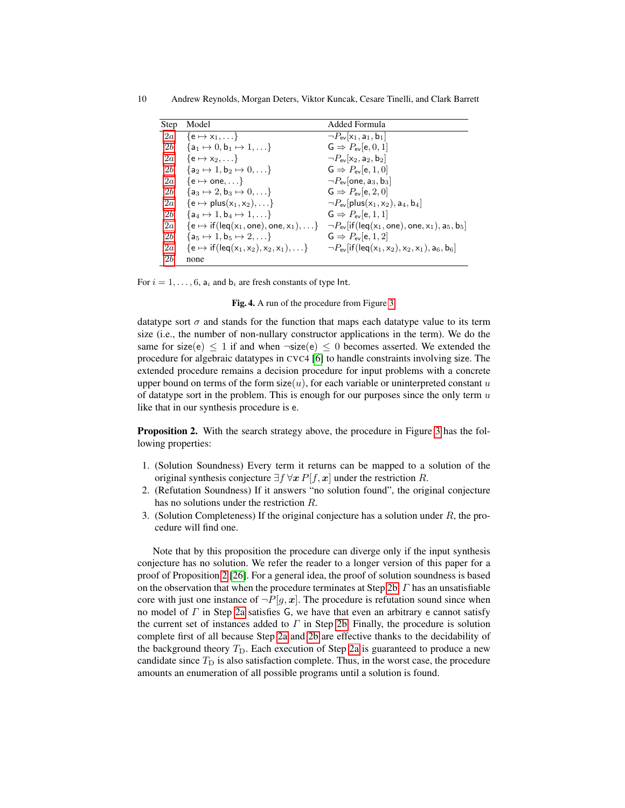| Step           | Model                                                                          | Added Formula                                                                                              |
|----------------|--------------------------------------------------------------------------------|------------------------------------------------------------------------------------------------------------|
| 2a             | $\{e \mapsto x_1, \dots\}$                                                     | $\neg P_{\text{ev}}[x_1, a_1, b_1]$                                                                        |
| 2b             | ${a_1 \mapsto 0, b_1 \mapsto 1, \ldots}$                                       | $\mathsf{G} \Rightarrow P_{\mathsf{ev}}[\mathsf{e},0,1]$                                                   |
| 2a             | $\{e \mapsto x_2, \dots\}$                                                     | $\neg P_{\text{ev}}[x_2, a_2, b_2]$                                                                        |
| 2b             | ${a_2 \mapsto 1, b_2 \mapsto 0, \ldots}$                                       | $G \Rightarrow P_{ev}[e, 1, 0]$                                                                            |
| 2a             | $\{e \mapsto \text{one}, \dots\}$                                              | $\neg P_{\text{ev}}$ one, $a_3$ , $b_3$                                                                    |
| 2b             | ${a_3 \mapsto 2, b_3 \mapsto 0, \ldots}$                                       | $\mathsf{G} \Rightarrow P_{\mathsf{ev}}[\mathsf{e},2,0]$                                                   |
| 2a             | $\{e \mapsto \mathsf{plus}(x_1, x_2), \ldots\}$                                | $\neg P_{\text{ev}}[\text{plus}(x_1, x_2), a_4, b_4]$                                                      |
| 2b             | $\{a_4 \mapsto 1, b_4 \mapsto 1, \ldots\}$                                     | $G \Rightarrow P_{ev}[e, 1, 1]$                                                                            |
| 2a             | $\{e \mapsto \text{if}(\text{leg}(x_1, \text{one}), \text{one}, x_1), \dots\}$ | $\neg P_{\text{ev}}$ if (leq(x <sub>1</sub> , one), one, x <sub>1</sub> ), a <sub>5</sub> , b <sub>5</sub> |
| 2b             | ${a_5 \mapsto 1, b_5 \mapsto 2, \ldots}$                                       | $G \Rightarrow P_{ev}[e, 1, 2]$                                                                            |
| 2a             | $\{e \mapsto \text{if}(\text{leg}(x_1, x_2), x_2, x_1), \dots\}$               | $\neg P_{\text{ev}}[\text{if}(\text{leg}(x_1, x_2), x_2, x_1), a_6, b_6]$                                  |
| 2 <sub>b</sub> | none                                                                           |                                                                                                            |

For  $i = 1, \ldots, 6$ ,  $a_i$  and  $b_i$  are fresh constants of type Int.

<span id="page-9-0"></span>Fig. 4. A run of the procedure from Figure [3.](#page-8-0)

datatype sort  $\sigma$  and stands for the function that maps each datatype value to its term size (i.e., the number of non-nullary constructor applications in the term). We do the same for size(e)  $\leq 1$  if and when  $\neg$ size(e)  $\leq 0$  becomes asserted. We extended the procedure for algebraic datatypes in CVC4 [\[6\]](#page-15-16) to handle constraints involving size. The extended procedure remains a decision procedure for input problems with a concrete upper bound on terms of the form  $size(u)$ , for each variable or uninterpreted constant u of datatype sort in the problem. This is enough for our purposes since the only term  $u$ like that in our synthesis procedure is e.

<span id="page-9-1"></span>Proposition 2. With the search strategy above, the procedure in Figure [3](#page-8-0) has the following properties:

- 1. (Solution Soundness) Every term it returns can be mapped to a solution of the original synthesis conjecture  $\exists f \forall x P[f, x]$  under the restriction R.
- 2. (Refutation Soundness) If it answers "no solution found", the original conjecture has no solutions under the restriction R.
- 3. (Solution Completeness) If the original conjecture has a solution under  $R$ , the procedure will find one.

Note that by this proposition the procedure can diverge only if the input synthesis conjecture has no solution. We refer the reader to a longer version of this paper for a proof of Proposition [2](#page-9-1) [\[26\]](#page-16-11). For a general idea, the proof of solution soundness is based on the observation that when the procedure terminates at Step [2b,](#page-8-1)  $\Gamma$  has an unsatisfiable core with just one instance of  $\neg P[g, x]$ . The procedure is refutation sound since when no model of  $\Gamma$  in Step [2a](#page-8-2) satisfies G, we have that even an arbitrary e cannot satisfy the current set of instances added to  $\Gamma$  in Step [2b.](#page-8-1) Finally, the procedure is solution complete first of all because Step [2a](#page-8-2) and [2b](#page-8-1) are effective thanks to the decidability of the background theory  $T_D$ . Each execution of Step [2a](#page-8-2) is guaranteed to produce a new candidate since  $T<sub>D</sub>$  is also satisfaction complete. Thus, in the worst case, the procedure amounts an enumeration of all possible programs until a solution is found.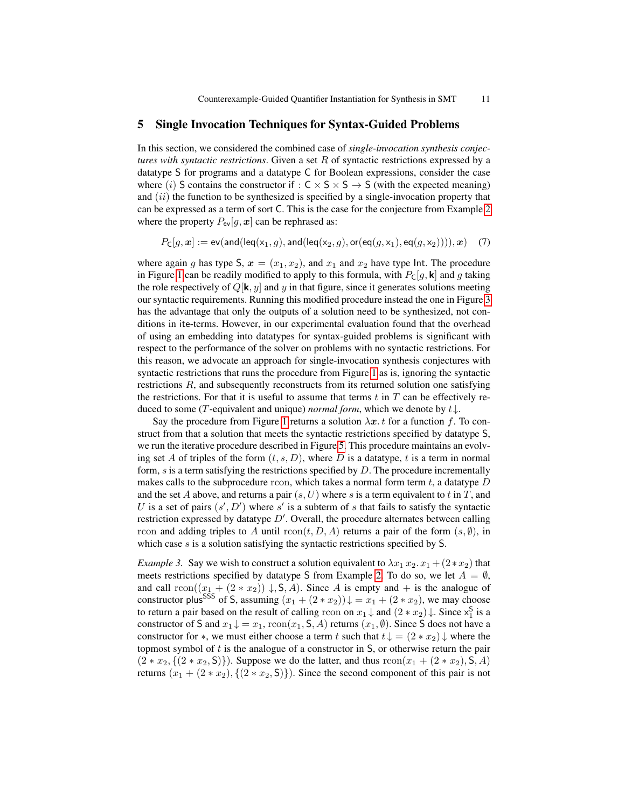#### <span id="page-10-0"></span>5 Single Invocation Techniques for Syntax-Guided Problems

In this section, we considered the combined case of *single-invocation synthesis conjectures with syntactic restrictions*. Given a set R of syntactic restrictions expressed by a datatype S for programs and a datatype C for Boolean expressions, consider the case where (i) S contains the constructor if :  $C \times S \times S \rightarrow S$  (with the expected meaning) and  $(ii)$  the function to be synthesized is specified by a single-invocation property that can be expressed as a term of sort C. This is the case for the conjecture from Example [2](#page-7-0) where the property  $P_{ev}[g, x]$  can be rephrased as:

$$
P_{\mathsf{C}}[g, \boldsymbol{x}] := \mathsf{ev}(\mathsf{and}(\mathsf{leg}(\mathsf{x}_1, g), \mathsf{and}(\mathsf{leg}(\mathsf{x}_2, g), \mathsf{or}(\mathsf{eq}(g, \mathsf{x}_1), \mathsf{eq}(g, \mathsf{x}_2)))) , \boldsymbol{x}) \quad \textit{(7)}
$$

where again g has type S,  $x = (x_1, x_2)$ , and  $x_1$  and  $x_2$  have type Int. The procedure in Figure [1](#page-5-0) can be readily modified to apply to this formula, with  $P_{\mathsf{C}}[g, \mathbf{k}]$  and g taking the role respectively of  $Q[k, y]$  and y in that figure, since it generates solutions meeting our syntactic requirements. Running this modified procedure instead the one in Figure [3](#page-8-0) has the advantage that only the outputs of a solution need to be synthesized, not conditions in ite-terms. However, in our experimental evaluation found that the overhead of using an embedding into datatypes for syntax-guided problems is significant with respect to the performance of the solver on problems with no syntactic restrictions. For this reason, we advocate an approach for single-invocation synthesis conjectures with syntactic restrictions that runs the procedure from Figure [1](#page-5-0) as is, ignoring the syntactic restrictions R, and subsequently reconstructs from its returned solution one satisfying the restrictions. For that it is useful to assume that terms  $t$  in  $T$  can be effectively reduced to some (T-equivalent and unique) *normal form*, which we denote by  $t \downarrow$ .

Say the procedure from Figure [1](#page-5-0) returns a solution  $\lambda x$ . t for a function f. To construct from that a solution that meets the syntactic restrictions specified by datatype S, we run the iterative procedure described in Figure [5.](#page-11-0) This procedure maintains an evolving set A of triples of the form  $(t, s, D)$ , where D is a datatype, t is a term in normal form,  $s$  is a term satisfying the restrictions specified by  $D$ . The procedure incrementally makes calls to the subprocedure rcon, which takes a normal form term  $t$ , a datatype  $D$ and the set A above, and returns a pair  $(s, U)$  where s is a term equivalent to t in T, and U is a set of pairs  $(s', D')$  where s' is a subterm of s that fails to satisfy the syntactic restriction expressed by datatype  $D'$ . Overall, the procedure alternates between calling rcon and adding triples to A until  $\text{rcon}(t, D, A)$  returns a pair of the form  $(s, \emptyset)$ , in which case s is a solution satisfying the syntactic restrictions specified by S.

*Example 3.* Say we wish to construct a solution equivalent to  $\lambda x_1 x_2 x_1 + (2 \ast x_2)$  that meets restrictions specified by datatype S from Example [2.](#page-7-0) To do so, we let  $A = \emptyset$ , and call  $rcon((x_1 + (2 * x_2)) \downarrow, S, A)$ . Since A is empty and + is the analogue of constructor plus<sup>SSS</sup> of S, assuming  $(x_1 + (2 \cdot x_2)) \downarrow = x_1 + (2 \cdot x_2)$ , we may choose to return a pair based on the result of calling rcon on  $x_1 \downarrow$  and  $(2 * x_2) \downarrow$ . Since  $x_1^S$  is a constructor of S and  $x_1 \downarrow = x_1$ ,  $\text{rcon}(x_1, \mathsf{S}, A)$  returns  $(x_1, \emptyset)$ . Since S does not have a constructor for  $*$ , we must either choose a term t such that  $t \downarrow = (2 * x_2) \downarrow$  where the topmost symbol of  $t$  is the analogue of a constructor in  $S$ , or otherwise return the pair  $(2 * x_2, \{(2 * x_2, S)\})$ . Suppose we do the latter, and thus  $rcon(x_1 + (2 * x_2), S, A)$ returns  $(x_1 + (2 \cdot x_2), \{(2 \cdot x_2, S)\})$ . Since the second component of this pair is not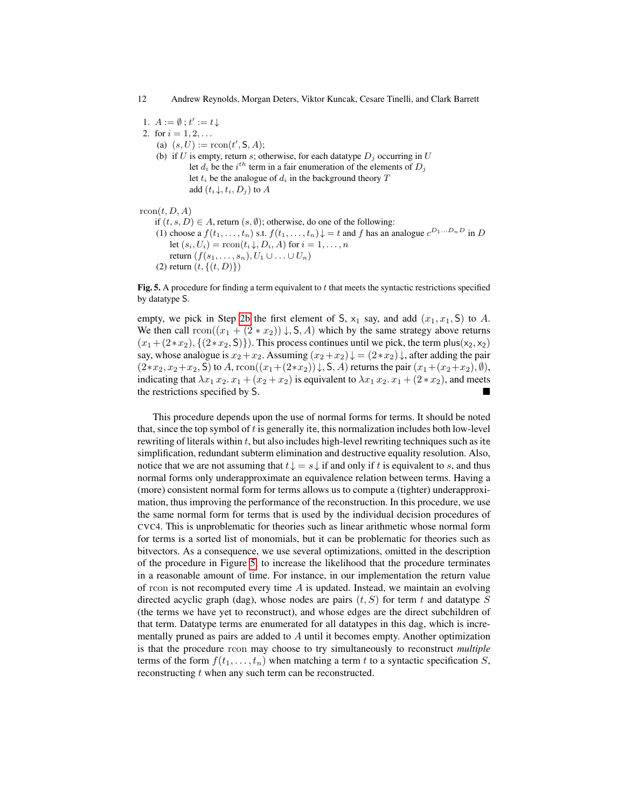12 Andrew Reynolds, Morgan Deters, Viktor Kuncak, Cesare Tinelli, and Clark Barrett

1.  $A := \emptyset$ ;  $t' := t \downarrow$ 

- <span id="page-11-1"></span>2. for  $i = 1, 2, ...$ 
	- (a)  $(s, U) := \text{rcon}(t', \mathsf{S}, A);$
	- (b) if U is empty, return s; otherwise, for each datatype  $D_i$  occurring in U let  $d_i$  be the  $i^{th}$  term in a fair enumeration of the elements of  $D_j$ let  $t_i$  be the analogue of  $d_i$  in the background theory  $T$ add  $(t_i \downarrow, t_i, D_j)$  to A

#### $rcon(t, D, A)$

- if  $(t, s, D) \in A$ , return  $(s, \emptyset)$ ; otherwise, do one of the following:
- (1) choose a  $f(t_1,\ldots,t_n)$  s.t.  $f(t_1,\ldots,t_n) \downarrow t$  and f has an analogue  $c^{D_1\ldots D_nD}$  in D let  $(s_i, U_i) = \text{rcon}(t_i \downarrow, D_i, A)$  for  $i = 1, \ldots, n$ return  $(f(s_1, \ldots, s_n), U_1 \cup \ldots \cup U_n)$
- <span id="page-11-0"></span>(2) return  $(t, \{(t, D)\})$

Fig. 5. A procedure for finding a term equivalent to t that meets the syntactic restrictions specified by datatype S.

empty, we pick in Step [2b](#page-11-1) the first element of S,  $x_1$  say, and add  $(x_1, x_1, S)$  to A. We then call  $\text{rcon}((x_1 + (2 \ast x_2)) \downarrow, S, A)$  which by the same strategy above returns  $(x_1 + (2*x_2), \{(2*x_2, S)\})$ . This process continues until we pick, the term plus(x<sub>2</sub>, x<sub>2</sub>) say, whose analogue is  $x_2+x_2$ . Assuming  $(x_2+x_2)\downarrow = (2*x_2)\downarrow$ , after adding the pair  $(2*x_2, x_2+x_2, S)$  to A,  $rcon((x_1+(2*x_2))\downarrow, S, A)$  returns the pair  $(x_1+(x_2+x_2), \emptyset)$ , indicating that  $\lambda x_1 x_2 x_1 + (x_2 + x_2)$  is equivalent to  $\lambda x_1 x_2 x_1 + (2 \cdot x_2)$ , and meets the restrictions specified by S.

This procedure depends upon the use of normal forms for terms. It should be noted that, since the top symbol of  $t$  is generally ite, this normalization includes both low-level rewriting of literals within  $t$ , but also includes high-level rewriting techniques such as ite simplification, redundant subterm elimination and destructive equality resolution. Also, notice that we are not assuming that  $t \downarrow = s \downarrow$  if and only if t is equivalent to s, and thus normal forms only underapproximate an equivalence relation between terms. Having a (more) consistent normal form for terms allows us to compute a (tighter) underapproximation, thus improving the performance of the reconstruction. In this procedure, we use the same normal form for terms that is used by the individual decision procedures of CVC4. This is unproblematic for theories such as linear arithmetic whose normal form for terms is a sorted list of monomials, but it can be problematic for theories such as bitvectors. As a consequence, we use several optimizations, omitted in the description of the procedure in Figure [5,](#page-11-0) to increase the likelihood that the procedure terminates in a reasonable amount of time. For instance, in our implementation the return value of rcon is not recomputed every time  $A$  is updated. Instead, we maintain an evolving directed acyclic graph (dag), whose nodes are pairs  $(t, S)$  for term t and datatype S (the terms we have yet to reconstruct), and whose edges are the direct subchildren of that term. Datatype terms are enumerated for all datatypes in this dag, which is incrementally pruned as pairs are added to A until it becomes empty. Another optimization is that the procedure rcon may choose to try simultaneously to reconstruct *multiple* terms of the form  $f(t_1, \ldots, t_n)$  when matching a term t to a syntactic specification S, reconstructing  $t$  when any such term can be reconstructed.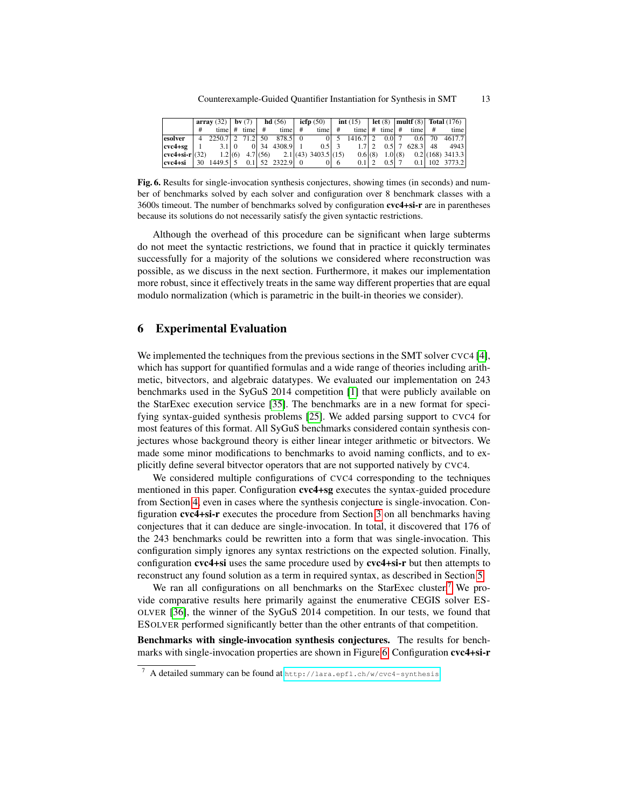|                           |  |                                               |  |                   |  |                      |  |                                     |             |                                    |  |                 |  |                            | array (32)   by (7)   hd (56)   icfp (50)   int (15)   let (8)   multf (8)   Total (176) |                    |
|---------------------------|--|-----------------------------------------------|--|-------------------|--|----------------------|--|-------------------------------------|-------------|------------------------------------|--|-----------------|--|----------------------------|------------------------------------------------------------------------------------------|--------------------|
|                           |  |                                               |  | time $#$ time $#$ |  | time $#$             |  | time $#$                            |             |                                    |  |                 |  | time $#$ time $#$ time $#$ |                                                                                          | time               |
| esolver                   |  | $\overline{4}$ 2250.7   2 71.2   50 878.5   0 |  |                   |  |                      |  |                                     |             | $0 \mid 5 \mid 14 \mid 6.7 \mid 2$ |  | 0.017           |  |                            |                                                                                          | $0.6$ 70 4617.7    |
| $cvc4+sg$                 |  | $3.1 \,   \, 0$                               |  |                   |  | $0 34$ 4308.9 1      |  | $0.5$   3                           |             |                                    |  | $0.5 \mid 7$    |  | $628.3$ 48                 |                                                                                          | 4943               |
| $\text{cvc4+si-r}$ $(32)$ |  |                                               |  |                   |  |                      |  | $1.2(6)$ 4.7(56) 2.1(43) 3403.5(15) |             |                                    |  | $0.6(8)$ 1.0(8) |  |                            |                                                                                          | $0.2$ (168) 3413.3 |
| cvc4+si   30 $1449.5$   5 |  |                                               |  |                   |  | $0.1$   52 2322.9  0 |  |                                     | $0\sqrt{6}$ | $0.1$   2                          |  | $0.5$   7       |  |                            |                                                                                          | $0.1$   102 3773.2 |

<span id="page-12-1"></span>Fig. 6. Results for single-invocation synthesis conjectures, showing times (in seconds) and number of benchmarks solved by each solver and configuration over 8 benchmark classes with a 3600s timeout. The number of benchmarks solved by configuration cvc4+si-r are in parentheses because its solutions do not necessarily satisfy the given syntactic restrictions.

Although the overhead of this procedure can be significant when large subterms do not meet the syntactic restrictions, we found that in practice it quickly terminates successfully for a majority of the solutions we considered where reconstruction was possible, as we discuss in the next section. Furthermore, it makes our implementation more robust, since it effectively treats in the same way different properties that are equal modulo normalization (which is parametric in the built-in theories we consider).

### 6 Experimental Evaluation

We implemented the techniques from the previous sections in the SMT solver CVC4 [\[4\]](#page-15-17), which has support for quantified formulas and a wide range of theories including arithmetic, bitvectors, and algebraic datatypes. We evaluated our implementation on 243 benchmarks used in the SyGuS 2014 competition [\[1\]](#page-15-3) that were publicly available on the StarExec execution service [\[35\]](#page-16-12). The benchmarks are in a new format for specifying syntax-guided synthesis problems [\[25\]](#page-16-4). We added parsing support to CVC4 for most features of this format. All SyGuS benchmarks considered contain synthesis conjectures whose background theory is either linear integer arithmetic or bitvectors. We made some minor modifications to benchmarks to avoid naming conflicts, and to explicitly define several bitvector operators that are not supported natively by CVC4.

We considered multiple configurations of CVC4 corresponding to the techniques mentioned in this paper. Configuration cvc4+sg executes the syntax-guided procedure from Section [4,](#page-6-0) even in cases where the synthesis conjecture is single-invocation. Configuration cvc4+si-r executes the procedure from Section [3](#page-4-4) on all benchmarks having conjectures that it can deduce are single-invocation. In total, it discovered that 176 of the 243 benchmarks could be rewritten into a form that was single-invocation. This configuration simply ignores any syntax restrictions on the expected solution. Finally, configuration cvc4+si uses the same procedure used by cvc4+si-r but then attempts to reconstruct any found solution as a term in required syntax, as described in Section [5.](#page-10-0)

We ran all configurations on all benchmarks on the StarExec cluster.<sup>[7](#page-12-0)</sup> We provide comparative results here primarily against the enumerative CEGIS solver ES-OLVER [\[36\]](#page-16-13), the winner of the SyGuS 2014 competition. In our tests, we found that ESOLVER performed significantly better than the other entrants of that competition.

Benchmarks with single-invocation synthesis conjectures. The results for benchmarks with single-invocation properties are shown in Figure [6.](#page-12-1) Configuration cvc4+si-r

<span id="page-12-0"></span><sup>7</sup> A detailed summary can be found at <http://lara.epfl.ch/w/cvc4-synthesis>.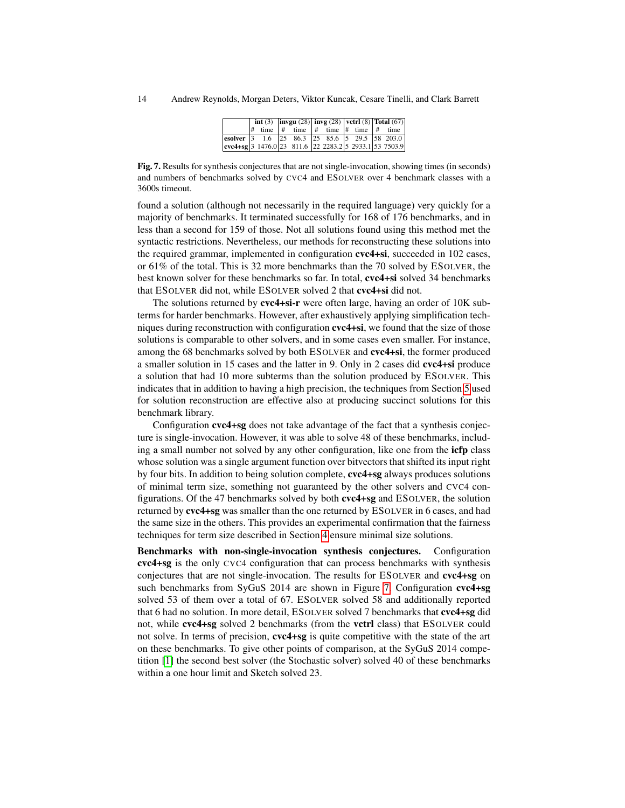|                                                                                                             |  |  | int (3) $\vert$ invgu (28) $\vert$ invg $\vert$ (28) $\vert$ vetrl (8) $\vert$ Total (67) |  |  |  |                                                        |  |
|-------------------------------------------------------------------------------------------------------------|--|--|-------------------------------------------------------------------------------------------|--|--|--|--------------------------------------------------------|--|
|                                                                                                             |  |  |                                                                                           |  |  |  | $\#$ time $\#$ time $\#$ time $\#$ time $\#$ time $\ $ |  |
| esolver 3 1.6 25 86.3 25 85.6 5 29.5 58 203.0                                                               |  |  |                                                                                           |  |  |  |                                                        |  |
| $\vert \text{cvc4+sg} \vert$ 3 1476.0 $\vert$ 23 811.6 22 2283.2 $\vert$ 5 2933.1 $\vert$ 53 7503.9 $\vert$ |  |  |                                                                                           |  |  |  |                                                        |  |

<span id="page-13-0"></span>Fig. 7. Results for synthesis conjectures that are not single-invocation, showing times (in seconds) and numbers of benchmarks solved by CVC4 and ESOLVER over 4 benchmark classes with a 3600s timeout.

found a solution (although not necessarily in the required language) very quickly for a majority of benchmarks. It terminated successfully for 168 of 176 benchmarks, and in less than a second for 159 of those. Not all solutions found using this method met the syntactic restrictions. Nevertheless, our methods for reconstructing these solutions into the required grammar, implemented in configuration cvc4+si, succeeded in 102 cases, or 61% of the total. This is 32 more benchmarks than the 70 solved by ESOLVER, the best known solver for these benchmarks so far. In total, cvc4+si solved 34 benchmarks that ESOLVER did not, while ESOLVER solved 2 that cvc4+si did not.

The solutions returned by cvc4+si-r were often large, having an order of 10K subterms for harder benchmarks. However, after exhaustively applying simplification techniques during reconstruction with configuration **cvc4+si**, we found that the size of those solutions is comparable to other solvers, and in some cases even smaller. For instance, among the 68 benchmarks solved by both ESOLVER and cvc4+si, the former produced a smaller solution in 15 cases and the latter in 9. Only in 2 cases did cvc4+si produce a solution that had 10 more subterms than the solution produced by ESOLVER. This indicates that in addition to having a high precision, the techniques from Section [5](#page-10-0) used for solution reconstruction are effective also at producing succinct solutions for this benchmark library.

Configuration cvc4+sg does not take advantage of the fact that a synthesis conjecture is single-invocation. However, it was able to solve 48 of these benchmarks, including a small number not solved by any other configuration, like one from the icfp class whose solution was a single argument function over bitvectors that shifted its input right by four bits. In addition to being solution complete, cvc4+sg always produces solutions of minimal term size, something not guaranteed by the other solvers and CVC4 configurations. Of the 47 benchmarks solved by both cvc4+sg and ESOLVER, the solution returned by cvc4+sg was smaller than the one returned by ESOLVER in 6 cases, and had the same size in the others. This provides an experimental confirmation that the fairness techniques for term size described in Section [4](#page-6-0) ensure minimal size solutions.

Benchmarks with non-single-invocation synthesis conjectures. Configuration cvc4+sg is the only CVC4 configuration that can process benchmarks with synthesis conjectures that are not single-invocation. The results for ESOLVER and cvc4+sg on such benchmarks from SyGuS 2014 are shown in Figure [7.](#page-13-0) Configuration cvc4+sg solved 53 of them over a total of 67. ESOLVER solved 58 and additionally reported that 6 had no solution. In more detail, ESOLVER solved 7 benchmarks that cvc4+sg did not, while cvc4+sg solved 2 benchmarks (from the vctrl class) that ESOLVER could not solve. In terms of precision, cvc4+sg is quite competitive with the state of the art on these benchmarks. To give other points of comparison, at the SyGuS 2014 competition [\[1\]](#page-15-3) the second best solver (the Stochastic solver) solved 40 of these benchmarks within a one hour limit and Sketch solved 23.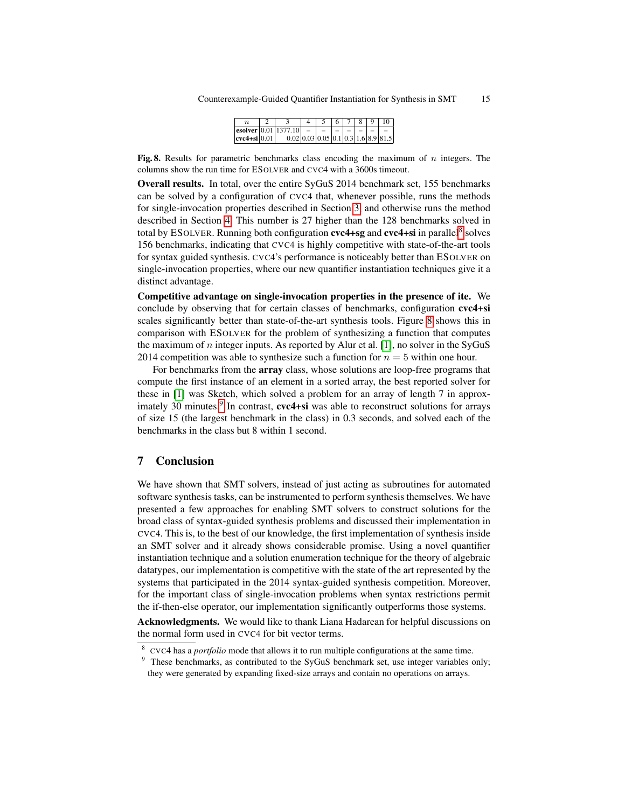|                        |                                                                          |  |  | 8 I | $\Omega$ | 10 |
|------------------------|--------------------------------------------------------------------------|--|--|-----|----------|----|
|                        | $ \operatorname{esolver} 0.01 1377.10  -   -$                            |  |  |     |          |    |
| $ {\rm cyc4+si} 0.01 $ | $0.02 \mid 0.03 \mid 0.05 \mid 0.1 \mid 0.3 \mid 1.6 \mid 8.9 \mid 81.5$ |  |  |     |          |    |

<span id="page-14-1"></span>Fig. 8. Results for parametric benchmarks class encoding the maximum of  $n$  integers. The columns show the run time for ESOLVER and CVC4 with a 3600s timeout.

Overall results. In total, over the entire SyGuS 2014 benchmark set, 155 benchmarks can be solved by a configuration of CVC4 that, whenever possible, runs the methods for single-invocation properties described in Section [3,](#page-4-4) and otherwise runs the method described in Section [4.](#page-6-0) This number is 27 higher than the 128 benchmarks solved in total by ESOLVER. Running both configuration  $\text{cvc4+sg}$  and  $\text{cvc4+si}$  in parallel<sup>[8](#page-14-0)</sup> solves 156 benchmarks, indicating that CVC4 is highly competitive with state-of-the-art tools for syntax guided synthesis. CVC4's performance is noticeably better than ESOLVER on single-invocation properties, where our new quantifier instantiation techniques give it a distinct advantage.

Competitive advantage on single-invocation properties in the presence of ite. We conclude by observing that for certain classes of benchmarks, configuration cvc4+si scales significantly better than state-of-the-art synthesis tools. Figure [8](#page-14-1) shows this in comparison with ESOLVER for the problem of synthesizing a function that computes the maximum of *n* integer inputs. As reported by Alur et al. [\[1\]](#page-15-3), no solver in the SyGuS 2014 competition was able to synthesize such a function for  $n = 5$  within one hour.

For benchmarks from the array class, whose solutions are loop-free programs that compute the first instance of an element in a sorted array, the best reported solver for these in [\[1\]](#page-15-3) was Sketch, which solved a problem for an array of length 7 in approx-imately 30 minutes.<sup>[9](#page-14-2)</sup> In contrast, cvc4+si was able to reconstruct solutions for arrays of size 15 (the largest benchmark in the class) in 0.3 seconds, and solved each of the benchmarks in the class but 8 within 1 second.

# 7 Conclusion

We have shown that SMT solvers, instead of just acting as subroutines for automated software synthesis tasks, can be instrumented to perform synthesis themselves. We have presented a few approaches for enabling SMT solvers to construct solutions for the broad class of syntax-guided synthesis problems and discussed their implementation in CVC4. This is, to the best of our knowledge, the first implementation of synthesis inside an SMT solver and it already shows considerable promise. Using a novel quantifier instantiation technique and a solution enumeration technique for the theory of algebraic datatypes, our implementation is competitive with the state of the art represented by the systems that participated in the 2014 syntax-guided synthesis competition. Moreover, for the important class of single-invocation problems when syntax restrictions permit the if-then-else operator, our implementation significantly outperforms those systems.

Acknowledgments. We would like to thank Liana Hadarean for helpful discussions on the normal form used in CVC4 for bit vector terms.

<span id="page-14-0"></span><sup>&</sup>lt;sup>8</sup> CVC4 has a *portfolio* mode that allows it to run multiple configurations at the same time.

<span id="page-14-2"></span><sup>&</sup>lt;sup>9</sup> These benchmarks, as contributed to the SyGuS benchmark set, use integer variables only; they were generated by expanding fixed-size arrays and contain no operations on arrays.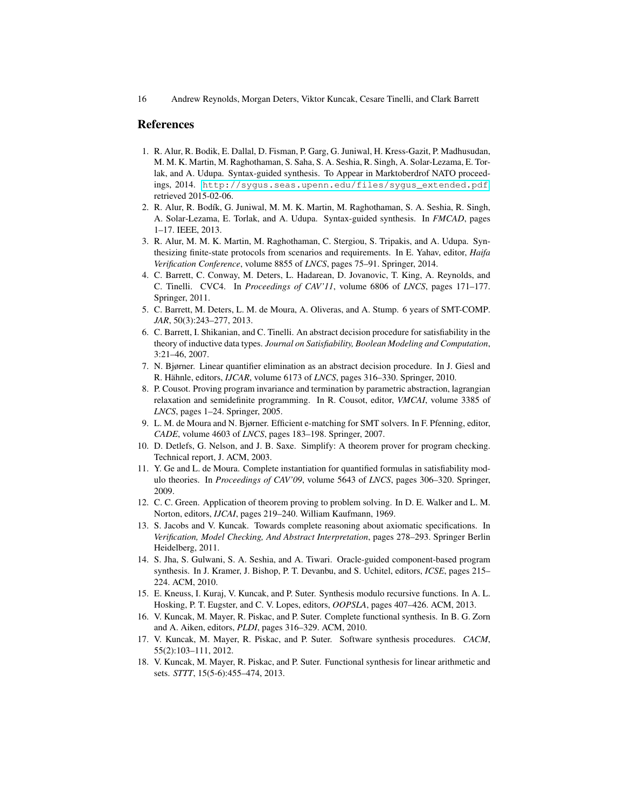### References

- <span id="page-15-3"></span>1. R. Alur, R. Bodik, E. Dallal, D. Fisman, P. Garg, G. Juniwal, H. Kress-Gazit, P. Madhusudan, M. M. K. Martin, M. Raghothaman, S. Saha, S. A. Seshia, R. Singh, A. Solar-Lezama, E. Torlak, and A. Udupa. Syntax-guided synthesis. To Appear in Marktoberdrof NATO proceedings, 2014. [http://sygus.seas.upenn.edu/files/sygus\\_extended.pdf](http://sygus.seas.upenn.edu/files/sygus_extended.pdf), retrieved 2015-02-06.
- <span id="page-15-4"></span>2. R. Alur, R. Bodík, G. Juniwal, M. M. K. Martin, M. Raghothaman, S. A. Seshia, R. Singh, A. Solar-Lezama, E. Torlak, and A. Udupa. Syntax-guided synthesis. In *FMCAD*, pages 1–17. IEEE, 2013.
- <span id="page-15-2"></span>3. R. Alur, M. M. K. Martin, M. Raghothaman, C. Stergiou, S. Tripakis, and A. Udupa. Synthesizing finite-state protocols from scenarios and requirements. In E. Yahav, editor, *Haifa Verification Conference*, volume 8855 of *LNCS*, pages 75–91. Springer, 2014.
- <span id="page-15-17"></span>4. C. Barrett, C. Conway, M. Deters, L. Hadarean, D. Jovanovic, T. King, A. Reynolds, and C. Tinelli. CVC4. In *Proceedings of CAV'11*, volume 6806 of *LNCS*, pages 171–177. Springer, 2011.
- <span id="page-15-5"></span>5. C. Barrett, M. Deters, L. M. de Moura, A. Oliveras, and A. Stump. 6 years of SMT-COMP. *JAR*, 50(3):243–277, 2013.
- <span id="page-15-16"></span>6. C. Barrett, I. Shikanian, and C. Tinelli. An abstract decision procedure for satisfiability in the theory of inductive data types. *Journal on Satisfiability, Boolean Modeling and Computation*, 3:21–46, 2007.
- <span id="page-15-13"></span>7. N. Bjørner. Linear quantifier elimination as an abstract decision procedure. In J. Giesl and R. Hähnle, editors, *IJCAR*, volume 6173 of *LNCS*, pages 316–330. Springer, 2010.
- <span id="page-15-15"></span>8. P. Cousot. Proving program invariance and termination by parametric abstraction, lagrangian relaxation and semidefinite programming. In R. Cousot, editor, *VMCAI*, volume 3385 of *LNCS*, pages 1–24. Springer, 2005.
- <span id="page-15-10"></span>9. L. M. de Moura and N. Bjørner. Efficient e-matching for SMT solvers. In F. Pfenning, editor, *CADE*, volume 4603 of *LNCS*, pages 183–198. Springer, 2007.
- <span id="page-15-9"></span>10. D. Detlefs, G. Nelson, and J. B. Saxe. Simplify: A theorem prover for program checking. Technical report, J. ACM, 2003.
- <span id="page-15-8"></span>11. Y. Ge and L. de Moura. Complete instantiation for quantified formulas in satisfiability modulo theories. In *Proceedings of CAV'09*, volume 5643 of *LNCS*, pages 306–320. Springer, 2009.
- <span id="page-15-6"></span>12. C. C. Green. Application of theorem proving to problem solving. In D. E. Walker and L. M. Norton, editors, *IJCAI*, pages 219–240. William Kaufmann, 1969.
- <span id="page-15-11"></span>13. S. Jacobs and V. Kuncak. Towards complete reasoning about axiomatic specifications. In *Verification, Model Checking, And Abstract Interpretation*, pages 278–293. Springer Berlin Heidelberg, 2011.
- <span id="page-15-14"></span>14. S. Jha, S. Gulwani, S. A. Seshia, and A. Tiwari. Oracle-guided component-based program synthesis. In J. Kramer, J. Bishop, P. T. Devanbu, and S. Uchitel, editors, *ICSE*, pages 215– 224. ACM, 2010.
- <span id="page-15-7"></span>15. E. Kneuss, I. Kuraj, V. Kuncak, and P. Suter. Synthesis modulo recursive functions. In A. L. Hosking, P. T. Eugster, and C. V. Lopes, editors, *OOPSLA*, pages 407–426. ACM, 2013.
- <span id="page-15-12"></span>16. V. Kuncak, M. Mayer, R. Piskac, and P. Suter. Complete functional synthesis. In B. G. Zorn and A. Aiken, editors, *PLDI*, pages 316–329. ACM, 2010.
- <span id="page-15-0"></span>17. V. Kuncak, M. Mayer, R. Piskac, and P. Suter. Software synthesis procedures. *CACM*, 55(2):103–111, 2012.
- <span id="page-15-1"></span>18. V. Kuncak, M. Mayer, R. Piskac, and P. Suter. Functional synthesis for linear arithmetic and sets. *STTT*, 15(5-6):455–474, 2013.